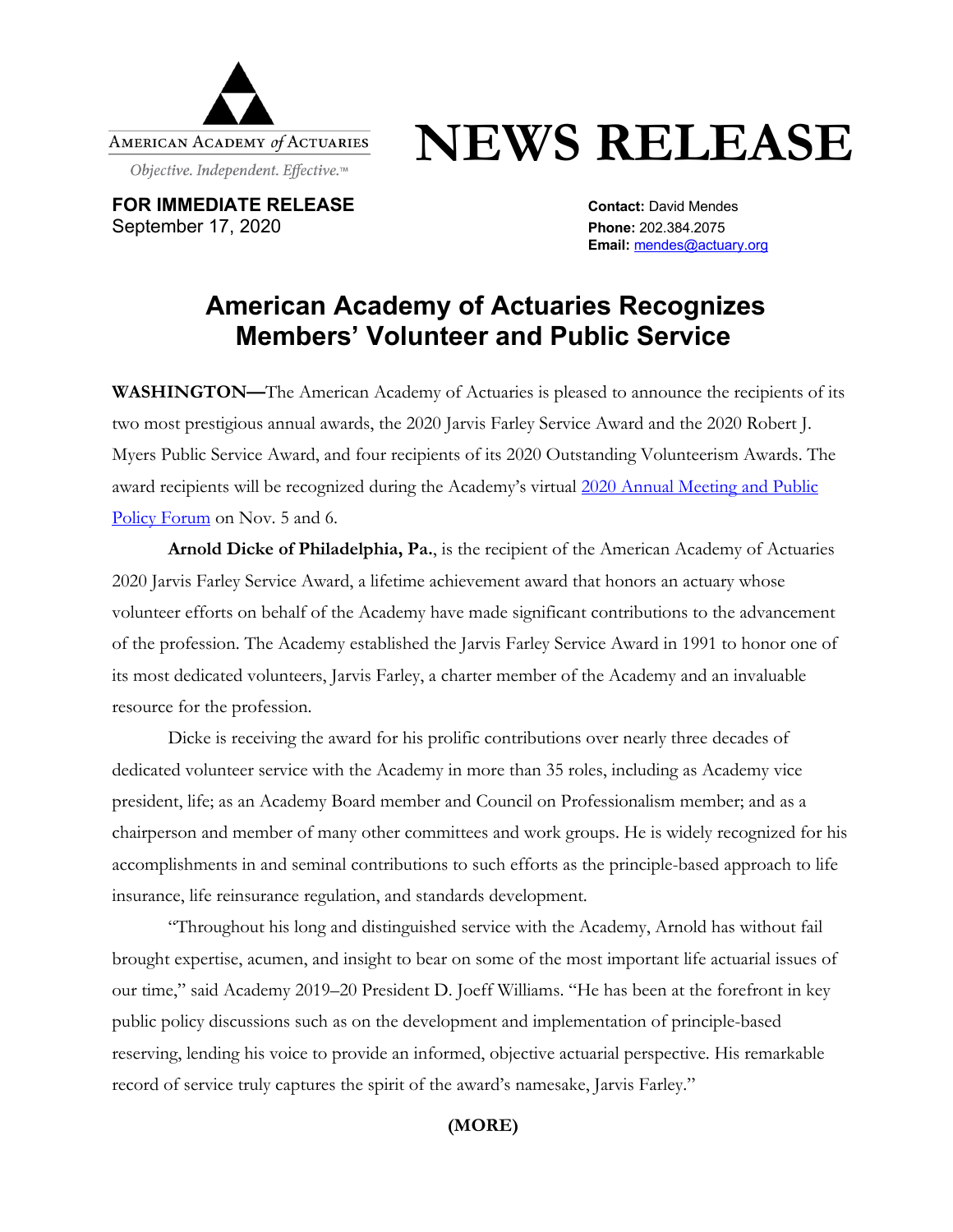

# **NEWS RELEASE**

**FOR IMMEDIATE RELEASE CONTACT:** David Mendes September 17, 2020 **Phone:** 202.384.2075

**Email:** mendes@actuary.org

# **American Academy of Actuaries Recognizes Members' Volunteer and Public Service**

**WASHINGTON—**The American Academy of Actuaries is pleased to announce the recipients of its two most prestigious annual awards, the 2020 Jarvis Farley Service Award and the 2020 Robert J. Myers Public Service Award, and four recipients of its 2020 Outstanding Volunteerism Awards. The award recipients will be recognized during the Academy's virtual 2020 Annual Meeting and Public Policy Forum on Nov. 5 and 6.

**Arnold Dicke of Philadelphia, Pa.**, is the recipient of the American Academy of Actuaries 2020 Jarvis Farley Service Award, a lifetime achievement award that honors an actuary whose volunteer efforts on behalf of the Academy have made significant contributions to the advancement of the profession. The Academy established the Jarvis Farley Service Award in 1991 to honor one of its most dedicated volunteers, Jarvis Farley, a charter member of the Academy and an invaluable resource for the profession.

Dicke is receiving the award for his prolific contributions over nearly three decades of dedicated volunteer service with the Academy in more than 35 roles, including as Academy vice president, life; as an Academy Board member and Council on Professionalism member; and as a chairperson and member of many other committees and work groups. He is widely recognized for his accomplishments in and seminal contributions to such efforts as the principle-based approach to life insurance, life reinsurance regulation, and standards development.

"Throughout his long and distinguished service with the Academy, Arnold has without fail brought expertise, acumen, and insight to bear on some of the most important life actuarial issues of our time," said Academy 2019–20 President D. Joeff Williams. "He has been at the forefront in key public policy discussions such as on the development and implementation of principle-based reserving, lending his voice to provide an informed, objective actuarial perspective. His remarkable record of service truly captures the spirit of the award's namesake, Jarvis Farley."

## **(MORE)**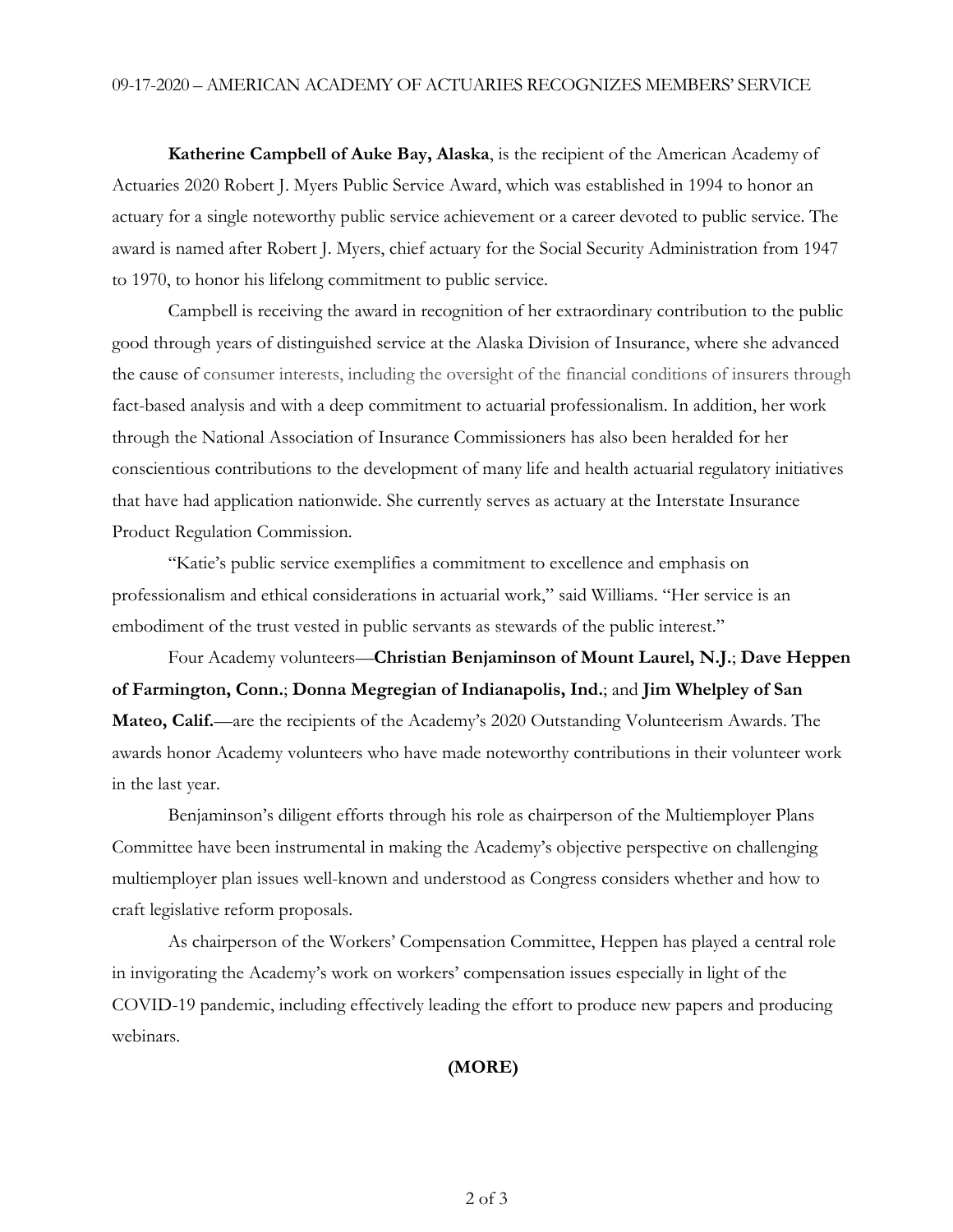**Katherine Campbell of Auke Bay, Alaska**, is the recipient of the American Academy of Actuaries 2020 Robert J. Myers Public Service Award, which was established in 1994 to honor an actuary for a single noteworthy public service achievement or a career devoted to public service. The award is named after Robert J. Myers, chief actuary for the Social Security Administration from 1947 to 1970, to honor his lifelong commitment to public service.

Campbell is receiving the award in recognition of her extraordinary contribution to the public good through years of distinguished service at the Alaska Division of Insurance, where she advanced the cause of consumer interests, including the oversight of the financial conditions of insurers through fact-based analysis and with a deep commitment to actuarial professionalism. In addition, her work through the National Association of Insurance Commissioners has also been heralded for her conscientious contributions to the development of many life and health actuarial regulatory initiatives that have had application nationwide. She currently serves as actuary at the Interstate Insurance Product Regulation Commission.

"Katie's public service exemplifies a commitment to excellence and emphasis on professionalism and ethical considerations in actuarial work," said Williams. "Her service is an embodiment of the trust vested in public servants as stewards of the public interest."

Four Academy volunteers—**Christian Benjaminson of Mount Laurel, N.J.**; **Dave Heppen of Farmington, Conn.**; **Donna Megregian of Indianapolis, Ind.**; and **Jim Whelpley of San Mateo, Calif.**—are the recipients of the Academy's 2020 Outstanding Volunteerism Awards. The awards honor Academy volunteers who have made noteworthy contributions in their volunteer work in the last year.

Benjaminson's diligent efforts through his role as chairperson of the Multiemployer Plans Committee have been instrumental in making the Academy's objective perspective on challenging multiemployer plan issues well-known and understood as Congress considers whether and how to craft legislative reform proposals.

As chairperson of the Workers' Compensation Committee, Heppen has played a central role in invigorating the Academy's work on workers' compensation issues especially in light of the COVID-19 pandemic, including effectively leading the effort to produce new papers and producing webinars.

### **(MORE)**